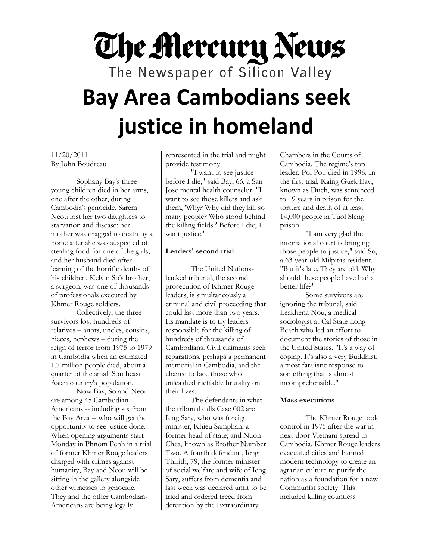# **The Mercury News** The Newspaper of Silicon Valley **Bay Area Cambodians seek justice in homeland**

11/20/2011 By John Boudreau

Sophany Bay's three young children died in her arms, one after the other, during Cambodia's genocide. Sarem Neou lost her two daughters to starvation and disease; her mother was dragged to death by a horse after she was suspected of stealing food for one of the girls; and her husband died after learning of the horrific deaths of his children. Kelvin So's brother, a surgeon, was one of thousands of professionals executed by Khmer Rouge soldiers.

Collectively, the three survivors lost hundreds of relatives – aunts, uncles, cousins, nieces, nephews – during the reign of terror from 1975 to 1979 in Cambodia when an estimated 1.7 million people died, about a quarter of the small Southeast Asian country's population.

Now Bay, So and Neou are among 45 Cambodian-Americans -- including six from the Bay Area -- who will get the opportunity to see justice done. When opening arguments start Monday in Phnom Penh in a trial of former Khmer Rouge leaders charged with crimes against humanity, Bay and Neou will be sitting in the gallery alongside other witnesses to genocide. They and the other Cambodian-Americans are being legally

represented in the trial and might provide testimony.

"I want to see justice before I die," said Bay, 66, a San Jose mental health counselor. "I want to see those killers and ask them, 'Why? Why did they kill so many people? Who stood behind the killing fields?' Before I die, I want justice."

## **Leaders' second trial**

The United Nationsbacked tribunal, the second prosecution of Khmer Rouge leaders, is simultaneously a criminal and civil proceeding that could last more than two years. Its mandate is to try leaders responsible for the killing of hundreds of thousands of Cambodians. Civil claimants seek reparations, perhaps a permanent memorial in Cambodia, and the chance to face those who unleashed ineffable brutality on their lives.

The defendants in what the tribunal calls Case 002 are Ieng Sary, who was foreign minister; Khieu Samphan, a former head of state; and Nuon Chea, known as Brother Number Two. A fourth defendant, Ieng Thirith, 79, the former minister of social welfare and wife of Ieng Sary, suffers from dementia and last week was declared unfit to be tried and ordered freed from detention by the Extraordinary

Chambers in the Courts of Cambodia. The regime's top leader, Pol Pot, died in 1998. In the first trial, Kaing Guek Eav, known as Duch, was sentenced to 19 years in prison for the torture and death of at least 14,000 people in Tuol Sleng prison.

"I am very glad the international court is bringing those people to justice," said So, a 63-year-old Milpitas resident. "But it's late. They are old. Why should these people have had a better life?"

Some survivors are ignoring the tribunal, said Leakhena Nou, a medical sociologist at Cal State Long Beach who led an effort to document the stories of those in the United States. "It's a way of coping. It's also a very Buddhist, almost fatalistic response to something that is almost incomprehensible."

#### **Mass executions**

The Khmer Rouge took control in 1975 after the war in next-door Vietnam spread to Cambodia. Khmer Rouge leaders evacuated cities and banned modern technology to create an agrarian culture to purify the nation as a foundation for a new Communist society. This included killing countless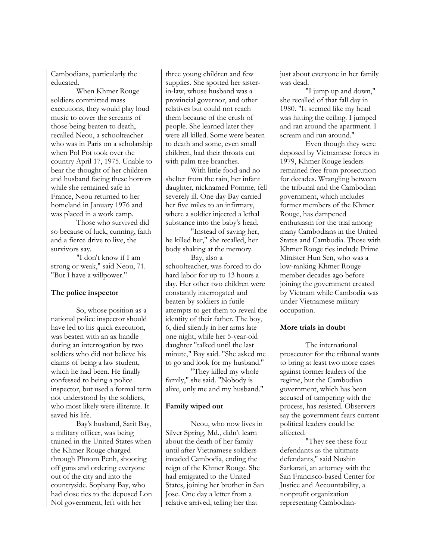Cambodians, particularly the educated.

When Khmer Rouge soldiers committed mass executions, they would play loud music to cover the screams of those being beaten to death, recalled Neou, a schoolteacher who was in Paris on a scholarship when Pol Pot took over the country April 17, 1975. Unable to bear the thought of her children and husband facing these horrors while she remained safe in France, Neou returned to her homeland in January 1976 and was placed in a work camp.

Those who survived did so because of luck, cunning, faith and a fierce drive to live, the survivors say.

"I don't know if I am strong or weak," said Neou, 71. "But I have a willpower."

## **The police inspector**

So, whose position as a national police inspector should have led to his quick execution, was beaten with an ax handle during an interrogation by two soldiers who did not believe his claims of being a law student, which he had been. He finally confessed to being a police inspector, but used a formal term not understood by the soldiers, who most likely were illiterate. It saved his life.

Bay's husband, Sarit Bay, a military officer, was being trained in the United States when the Khmer Rouge charged through Phnom Penh, shooting off guns and ordering everyone out of the city and into the countryside. Sophany Bay, who had close ties to the deposed Lon Nol government, left with her

three young children and few supplies. She spotted her sisterin-law, whose husband was a provincial governor, and other relatives but could not reach them because of the crush of people. She learned later they were all killed. Some were beaten to death and some, even small children, had their throats cut with palm tree branches.

With little food and no shelter from the rain, her infant daughter, nicknamed Pomme, fell severely ill. One day Bay carried her five miles to an infirmary, where a soldier injected a lethal substance into the baby's head.

"Instead of saving her, he killed her," she recalled, her body shaking at the memory.

Bay, also a schoolteacher, was forced to do hard labor for up to 13 hours a day. Her other two children were constantly interrogated and beaten by soldiers in futile attempts to get them to reveal the identity of their father. The boy, 6, died silently in her arms late one night, while her 5-year-old daughter "talked until the last minute," Bay said. "She asked me to go and look for my husband."

"They killed my whole family," she said. "Nobody is alive, only me and my husband."

#### **Family wiped out**

Neou, who now lives in Silver Spring, Md., didn't learn about the death of her family until after Vietnamese soldiers invaded Cambodia, ending the reign of the Khmer Rouge. She had emigrated to the United States, joining her brother in San Jose. One day a letter from a relative arrived, telling her that

just about everyone in her family was dead.

"I jump up and down," she recalled of that fall day in 1980. "It seemed like my head was hitting the ceiling. I jumped and ran around the apartment. I scream and run around."

Even though they were deposed by Vietnamese forces in 1979, Khmer Rouge leaders remained free from prosecution for decades. Wrangling between the tribunal and the Cambodian government, which includes former members of the Khmer Rouge, has dampened enthusiasm for the trial among many Cambodians in the United States and Cambodia. Those with Khmer Rouge ties include Prime Minister Hun Sen, who was a low-ranking Khmer Rouge member decades ago before joining the government created by Vietnam while Cambodia was under Vietnamese military occupation.

## **More trials in doubt**

The international prosecutor for the tribunal wants to bring at least two more cases against former leaders of the regime, but the Cambodian government, which has been accused of tampering with the process, has resisted. Observers say the government fears current political leaders could be affected.

"They see these four defendants as the ultimate defendants," said Nushin Sarkarati, an attorney with the San Francisco-based Center for Justice and Accountability, a nonprofit organization representing Cambodian-